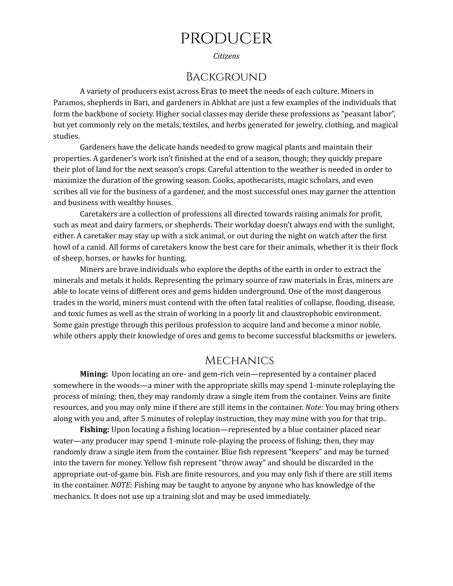# producer

*Citizens*

#### Background

A variety of producers exist across Eras to meet the needs of each culture. Miners in Paramos, shepherds in Bari, and gardeners in Abkhat are just a few examples of the individuals that form the backbone of society. Higher social classes may deride these professions as "peasant labor", but yet commonly rely on the metals, textiles, and herbs generated for jewelry, clothing, and magical studies.

Gardeners have the delicate hands needed to grow magical plants and maintain their properties. A gardener's work isn't finished at the end of a season, though; they quickly prepare their plot of land for the next season's crops. Careful attention to the weather is needed in order to maximize the duration of the growing season. Cooks, apothecarists, magic scholars, and even scribes all vie for the business of a gardener, and the most successful ones may garner the attention and business with wealthy houses.

Caretakers are a collection of professions all directed towards raising animals for profit, such as meat and dairy farmers, or shepherds. Their workday doesn't always end with the sunlight, either. A caretaker may stay up with a sick animal, or out during the night on watch after the first howl of a canid. All forms of caretakers know the best care for their animals, whether it is their flock of sheep, horses, or hawks for hunting.

Miners are brave individuals who explore the depths of the earth in order to extract the minerals and metals it holds. Representing the primary source of raw materials in Éras, miners are able to locate veins of different ores and gems hidden underground. One of the most dangerous trades in the world, miners must contend with the often fatal realities of collapse, flooding, disease, and toxic fumes as well as the strain of working in a poorly lit and claustrophobic environment. Some gain prestige through this perilous profession to acquire land and become a minor noble, while others apply their knowledge of ores and gems to become successful blacksmiths or jewelers.

#### **MECHANICS**

**Mining:** Upon locating an ore- and gem-rich vein—represented by a container placed somewhere in the woods—a miner with the appropriate skills may spend 1-minute roleplaying the process of mining; then, they may randomly draw a single item from the container. Veins are finite resources, and you may only mine if there are still items in the container. *Note:* You may bring others along with you and, after 5 minutes of roleplay instruction, they may mine with you for that trip..

**Fishing:** Upon locating a fishing location—represented by a blue container placed near water—any producer may spend 1-minute role-playing the process of fishing; then, they may randomly draw a single item from the container. Blue fish represent "keepers" and may be turned into the tavern for money. Yellow fish represent "throw away" and should be discarded in the appropriate out-of-game bin. Fish are finite resources, and you may only fish if there are still items in the container. *NOTE:* Fishing may be taught to anyone by anyone who has knowledge of the mechanics. It does not use up a training slot and may be used immediately.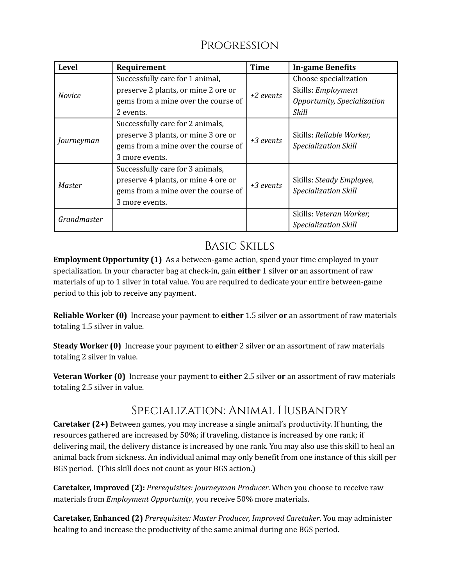## **PROGRESSION**

| <b>Level</b>  | Requirement                                                                                                                      | <b>Time</b> | <b>In-game Benefits</b>                                                                    |
|---------------|----------------------------------------------------------------------------------------------------------------------------------|-------------|--------------------------------------------------------------------------------------------|
| <b>Novice</b> | Successfully care for 1 animal,<br>preserve 2 plants, or mine 2 ore or<br>gems from a mine over the course of<br>2 events.       | +2 events   | Choose specialization<br>Skills: Employment<br>Opportunity, Specialization<br><b>Skill</b> |
| Journeyman    | Successfully care for 2 animals,<br>preserve 3 plants, or mine 3 ore or<br>gems from a mine over the course of<br>3 more events. | +3 events   | Skills: Reliable Worker,<br><b>Specialization Skill</b>                                    |
| Master        | Successfully care for 3 animals,<br>preserve 4 plants, or mine 4 ore or<br>gems from a mine over the course of<br>3 more events. | +3 events   | Skills: Steady Employee,<br><b>Specialization Skill</b>                                    |
| Grandmaster   |                                                                                                                                  |             | Skills: Veteran Worker,<br><b>Specialization Skill</b>                                     |

### Basic Skills

**Employment Opportunity (1)** As a between-game action, spend your time employed in your specialization. In your character bag at check-in, gain **either** 1 silver **or** an assortment of raw materials of up to 1 silver in total value. You are required to dedicate your entire between-game period to this job to receive any payment.

**Reliable Worker (0)** Increase your payment to **either** 1.5 silver **or** an assortment of raw materials totaling 1.5 silver in value.

**Steady Worker (0)** Increase your payment to **either** 2 silver **or** an assortment of raw materials totaling 2 silver in value.

**Veteran Worker (0)** Increase your payment to **either** 2.5 silver **or** an assortment of raw materials totaling 2.5 silver in value.

### Specialization: Animal Husbandry

**Caretaker (2+)** Between games, you may increase a single animal's productivity. If hunting, the resources gathered are increased by 50%; if traveling, distance is increased by one rank; if delivering mail, the delivery distance is increased by one rank. You may also use this skill to heal an animal back from sickness. An individual animal may only benefit from one instance of this skill per BGS period. (This skill does not count as your BGS action.)

**Caretaker, Improved (2):** *Prerequisites: Journeyman Producer*. When you choose to receive raw materials from *Employment Opportunity*, you receive 50% more materials.

**Caretaker, Enhanced (2)** *Prerequisites: Master Producer, Improved Caretaker*. You may administer healing to and increase the productivity of the same animal during one BGS period.